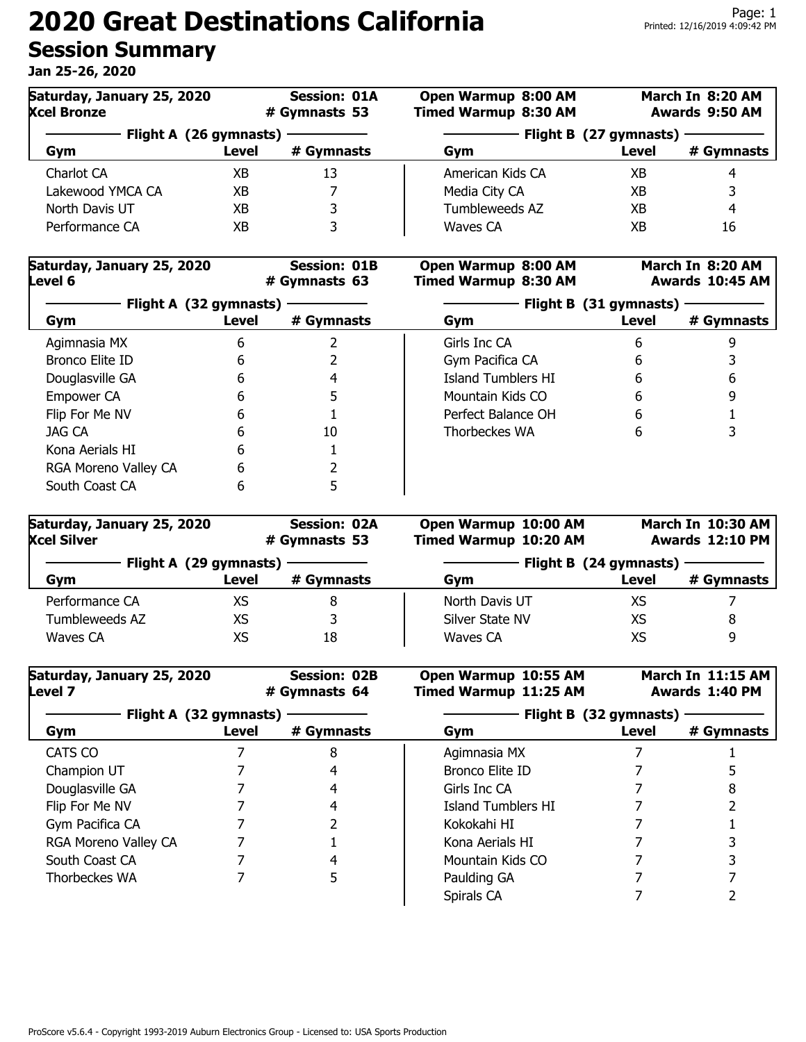| Saturday, January 25, 2020<br><b>Xcel Bronze</b> |       | <b>Session: 01A</b><br># Gymnasts 53 | Open Warmup 8:00 AM<br><b>Timed Warmup 8:30 AM</b> |       | March In 8:20 AM<br>Awards 9:50 AM |
|--------------------------------------------------|-------|--------------------------------------|----------------------------------------------------|-------|------------------------------------|
| Flight A (26 gymnasts)                           |       |                                      | Flight B (27 gymnasts)                             |       |                                    |
| Gym                                              | Level | # Gymnasts                           | Gym                                                | Level | # Gymnasts                         |
| Charlot CA                                       | ХB    | 13                                   | American Kids CA                                   | XB    |                                    |
| Lakewood YMCA CA                                 | ХB    |                                      | Media City CA                                      | XB    | ર                                  |
| North Davis UT                                   | ХB    | 3                                    | Tumbleweeds AZ                                     | XB    | 4                                  |
| Performance CA                                   | ХB    | っ                                    | Waves CA                                           | ΧB    | 16                                 |

| Saturday, January 25, 2020<br>Level 6 |       | <b>Session: 01B</b><br># Gymnasts 63 | Open Warmup 8:00 AM<br><b>Timed Warmup 8:30 AM</b> |       | March In 8:20 AM<br>Awards 10:45 AM |  |
|---------------------------------------|-------|--------------------------------------|----------------------------------------------------|-------|-------------------------------------|--|
| Flight A (32 gymnasts)                |       |                                      | Flight B (31 gymnasts)                             |       |                                     |  |
| Gym                                   | Level | # Gymnasts                           | Gym                                                | Level | # Gymnasts                          |  |
| Agimnasia MX                          | 6     |                                      | Girls Inc CA                                       | 6     |                                     |  |
| Bronco Elite ID                       | 6     |                                      | Gym Pacifica CA                                    | 6     |                                     |  |
| Douglasville GA                       | 6     | 4                                    | <b>Island Tumblers HT</b>                          | 6     | 6                                   |  |
| Empower CA                            | h     | 5                                    | Mountain Kids CO                                   | 6     |                                     |  |
| Flip For Me NV                        | 6     |                                      | Perfect Balance OH                                 | 6     |                                     |  |
| JAG CA                                | 6     | 10                                   | Thorbeckes WA                                      | 6     |                                     |  |
| Kona Aerials HI                       | 6     |                                      |                                                    |       |                                     |  |
| RGA Moreno Valley CA                  | 6     |                                      |                                                    |       |                                     |  |
| South Coast CA                        | 6     | 5                                    |                                                    |       |                                     |  |

| Saturday, January 25, 2020<br><b>Xcel Silver</b> |       | <b>Session: 02A</b><br># Gymnasts 53 | Open Warmup 10:00 AM<br>Timed Warmup 10:20 AM | March In 10:30 AM<br>Awards 12:10 PM |            |
|--------------------------------------------------|-------|--------------------------------------|-----------------------------------------------|--------------------------------------|------------|
| Flight A (29 gymnasts)                           |       |                                      |                                               | Flight B (24 gymnasts)               |            |
| Gym                                              | Level | # Gymnasts                           | Gym                                           | Level                                | # Gymnasts |
| Performance CA                                   | XS    | 8                                    | North Davis UT                                | XS                                   |            |
| Tumbleweeds AZ                                   | XS    |                                      | Silver State NV                               | XS                                   | 8          |
| Waves CA                                         | XS    | 18                                   | Waves CA                                      | XS                                   | q          |

| Saturday, January 25, 2020<br>Level 7 | <b>Session: 02B</b><br># Gymnasts 64 |            | Open Warmup 10:55 AM<br>Timed Warmup 11:25 AM |       | March In 11:15 AM<br>Awards 1:40 PM |
|---------------------------------------|--------------------------------------|------------|-----------------------------------------------|-------|-------------------------------------|
| Flight A (32 gymnasts)                |                                      |            | Flight B (32 gymnasts)                        |       |                                     |
| Gym                                   | Level                                | # Gymnasts | Gym                                           | Level | # Gymnasts                          |
| CATS CO                               |                                      | 8          | Agimnasia MX                                  |       |                                     |
| Champion UT                           |                                      |            | Bronco Elite ID                               |       |                                     |
| Douglasville GA                       |                                      | 4          | Girls Inc CA                                  |       |                                     |
| Flip For Me NV                        |                                      | 4          | Island Tumblers HI                            |       |                                     |
| Gym Pacifica CA                       |                                      |            | Kokokahi HI                                   |       |                                     |
| RGA Moreno Valley CA                  |                                      |            | Kona Aerials HI                               |       |                                     |
| South Coast CA                        |                                      |            | Mountain Kids CO                              |       |                                     |
| Thorbeckes WA                         |                                      | 5          | Paulding GA                                   |       |                                     |
|                                       |                                      |            | Spirals CA                                    |       |                                     |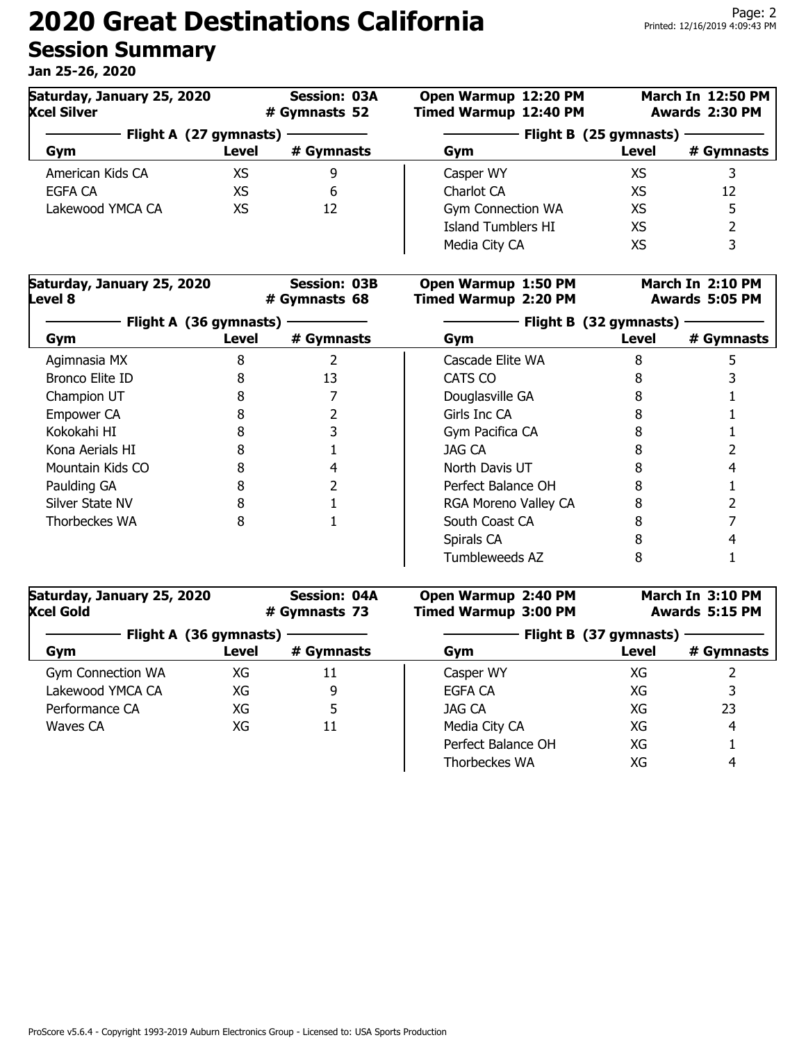| Saturday, January 25, 2020<br><b>Xcel Silver</b> |       | <b>Session: 03A</b><br># Gymnasts 52 | Open Warmup 12:20 PM<br><b>Timed Warmup 12:40 PM</b> |       | <b>March In 12:50 PM</b><br>Awards 2:30 PM |  |
|--------------------------------------------------|-------|--------------------------------------|------------------------------------------------------|-------|--------------------------------------------|--|
| Flight A (27 gymnasts)                           |       |                                      | Flight B (25 gymnasts)                               |       |                                            |  |
| Gym                                              | Level | # Gymnasts                           | Gym                                                  | Level | # Gymnasts                                 |  |
| American Kids CA                                 | XS    | 9                                    | Casper WY                                            | XS    | 3                                          |  |
| EGFA CA                                          | XS    | 6                                    | Charlot CA                                           | XS    | 12                                         |  |
| Lakewood YMCA CA                                 | XS    | 12                                   | <b>Gym Connection WA</b>                             | XS    | 5                                          |  |
|                                                  |       |                                      | <b>Island Tumblers HI</b>                            | XS    |                                            |  |
|                                                  |       |                                      | Media City CA                                        | XS    | 3                                          |  |

| Saturday, January 25, 2020<br>Level 8<br>Flight A (36 gymnasts) |       | <b>Session: 03B</b><br># Gymnasts 68 | Open Warmup 1:50 PM<br><b>Timed Warmup 2:20 PM</b> |                        | March In 2:10 PM<br>Awards 5:05 PM |
|-----------------------------------------------------------------|-------|--------------------------------------|----------------------------------------------------|------------------------|------------------------------------|
|                                                                 |       |                                      |                                                    | Flight B (32 gymnasts) |                                    |
| Gym                                                             | Level | # Gymnasts                           | Gym                                                | Level                  | # Gymnasts                         |
| Agimnasia MX                                                    | 8     |                                      | Cascade Elite WA                                   | 8                      |                                    |
| Bronco Elite ID                                                 |       | 13                                   | CATS CO                                            |                        |                                    |
| Champion UT                                                     |       |                                      | Douglasville GA                                    |                        |                                    |
| Empower CA                                                      |       |                                      | Girls Inc CA                                       |                        |                                    |
| Kokokahi HI                                                     |       |                                      | Gym Pacifica CA                                    |                        |                                    |
| Kona Aerials HI                                                 |       |                                      | JAG CA                                             |                        |                                    |
| Mountain Kids CO                                                |       |                                      | North Davis UT                                     |                        |                                    |
| Paulding GA                                                     |       |                                      | Perfect Balance OH                                 |                        |                                    |
| Silver State NV                                                 |       |                                      | RGA Moreno Valley CA                               |                        |                                    |
| Thorbeckes WA                                                   | 8     |                                      | South Coast CA                                     |                        |                                    |
|                                                                 |       |                                      | Spirals CA                                         |                        |                                    |
|                                                                 |       |                                      | Tumbleweeds AZ                                     | 8                      |                                    |

| Saturday, January 25, 2020<br><b>Xcel Gold</b> |       | <b>Session: 04A</b><br># Gymnasts 73 | Open Warmup 2:40 PM<br><b>Timed Warmup 3:00 PM</b> |                        | March In 3:10 PM<br>Awards 5:15 PM |
|------------------------------------------------|-------|--------------------------------------|----------------------------------------------------|------------------------|------------------------------------|
| Flight A (36 gymnasts)                         |       |                                      |                                                    | Flight B (37 gymnasts) |                                    |
| Gym                                            | Level | # Gymnasts                           | Gym                                                | Level                  | # Gymnasts                         |
| <b>Gym Connection WA</b>                       | XG    | 11                                   | Casper WY                                          | XG                     |                                    |
| Lakewood YMCA CA                               | XG    | 9                                    | <b>EGFA CA</b>                                     | XG                     |                                    |
| Performance CA                                 | XG    | 5                                    | JAG CA                                             | XG                     | 23                                 |
| Waves CA                                       | XG    | 11                                   | Media City CA                                      | XG                     | 4                                  |
|                                                |       |                                      | Perfect Balance OH                                 | XG                     |                                    |
|                                                |       |                                      | Thorbeckes WA                                      | XG                     | 4                                  |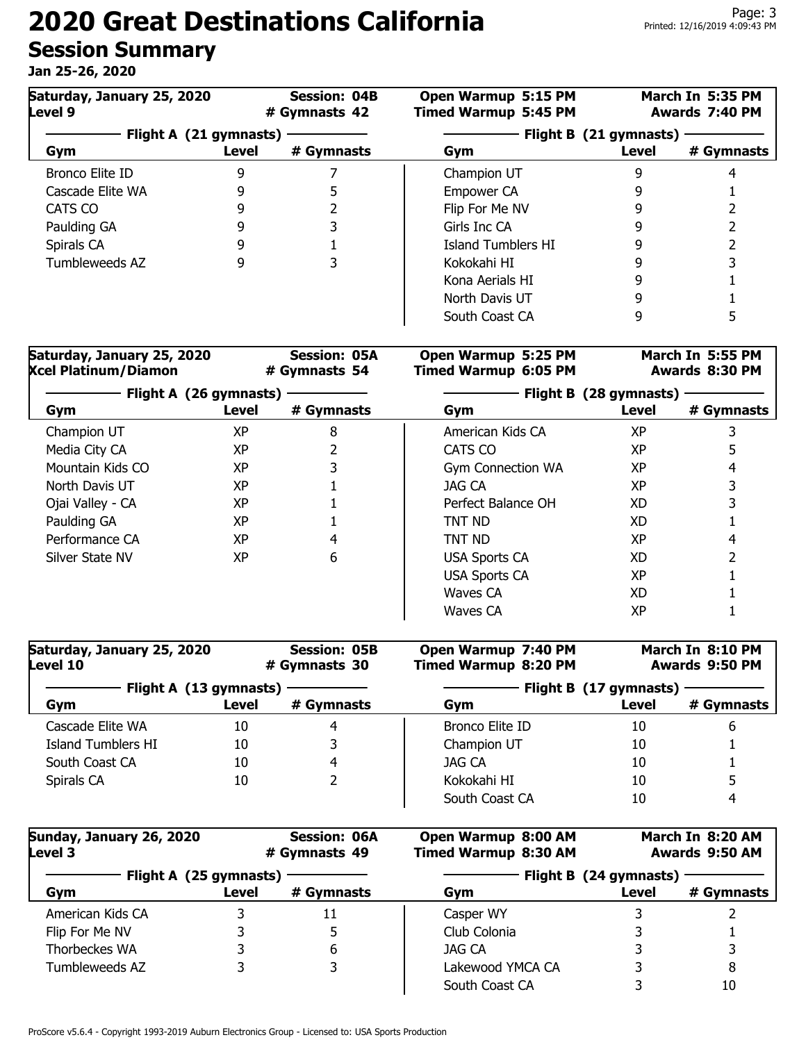| Saturday, January 25, 2020<br>Level 9 |       | <b>Session: 04B</b><br># Gymnasts 42 | Open Warmup 5:15 PM<br><b>Timed Warmup 5:45 PM</b> |                                 | March In 5:35 PM<br>Awards 7:40 PM |
|---------------------------------------|-------|--------------------------------------|----------------------------------------------------|---------------------------------|------------------------------------|
| Flight A (21 gymnasts)<br>Gym         | Level | # Gymnasts                           | Gym                                                | Flight B (21 gymnasts)<br>Level | # Gymnasts                         |
| Bronco Elite ID                       | 9     |                                      | Champion UT                                        |                                 |                                    |
| Cascade Elite WA                      |       |                                      | Empower CA                                         |                                 |                                    |
| CATS CO                               |       |                                      | Flip For Me NV                                     |                                 |                                    |
| Paulding GA                           |       |                                      | Girls Inc CA                                       |                                 |                                    |
| Spirals CA                            |       |                                      | Island Tumblers HI                                 |                                 |                                    |
| Tumbleweeds AZ                        |       |                                      | Kokokahi HI                                        |                                 |                                    |
|                                       |       |                                      | Kona Aerials HI                                    |                                 |                                    |
|                                       |       |                                      | North Davis UT                                     |                                 |                                    |
|                                       |       |                                      | South Coast CA                                     |                                 |                                    |

| Saturday, January 25, 2020<br><b>Session: 05A</b><br><b>Xcel Platinum/Diamon</b><br># Gymnasts 54<br>Flight A (26 gymnasts) |           |                        | Open Warmup 5:25 PM<br><b>Timed Warmup 6:05 PM</b> |           | March In 5:55 PM<br>Awards 8:30 PM |
|-----------------------------------------------------------------------------------------------------------------------------|-----------|------------------------|----------------------------------------------------|-----------|------------------------------------|
|                                                                                                                             |           | Flight B (28 gymnasts) |                                                    |           |                                    |
| Gym                                                                                                                         | Level     | # Gymnasts             | Gym                                                | Level     | # Gymnasts                         |
| Champion UT                                                                                                                 | <b>XP</b> | 8                      | American Kids CA                                   | <b>XP</b> |                                    |
| Media City CA                                                                                                               | <b>XP</b> |                        | CATS CO                                            | <b>XP</b> |                                    |
| Mountain Kids CO                                                                                                            | <b>XP</b> |                        | <b>Gym Connection WA</b>                           | <b>XP</b> | 4                                  |
| North Davis UT                                                                                                              | <b>XP</b> |                        | <b>JAG CA</b>                                      | <b>XP</b> |                                    |
| Ojai Valley - CA                                                                                                            | <b>XP</b> |                        | Perfect Balance OH                                 | XD        |                                    |
| Paulding GA                                                                                                                 | <b>XP</b> |                        | TNT ND                                             | XD        |                                    |
| Performance CA                                                                                                              | XP        | 4                      | TNT ND                                             | <b>XP</b> | 4                                  |
| Silver State NV                                                                                                             | <b>XP</b> | 6                      | <b>USA Sports CA</b>                               | XD.       |                                    |
|                                                                                                                             |           |                        | <b>USA Sports CA</b>                               | <b>XP</b> |                                    |
|                                                                                                                             |           |                        | Waves CA                                           | XD.       |                                    |
|                                                                                                                             |           |                        | Waves CA                                           | ХP        |                                    |

| Saturday, January 25, 2020<br><b>Session: 05B</b><br>Level 10<br># Gymnasts 30<br>Flight A (13 gymnasts) |       | Open Warmup 7:40 PM<br><b>Timed Warmup 8:20 PM</b> |                 | March In 8:10 PM<br>Awards 9:50 PM |            |
|----------------------------------------------------------------------------------------------------------|-------|----------------------------------------------------|-----------------|------------------------------------|------------|
|                                                                                                          |       | Flight B (17 gymnasts)                             |                 |                                    |            |
| Gym                                                                                                      | Level | # Gymnasts                                         | Gym             | Level                              | # Gymnasts |
| Cascade Elite WA                                                                                         | 10    | 4                                                  | Bronco Elite ID | 10                                 | 6          |
| Island Tumblers HI                                                                                       | 10    | 3                                                  | Champion UT     | 10                                 |            |
| South Coast CA                                                                                           | 10    | 4                                                  | JAG CA          | 10                                 |            |
| Spirals CA                                                                                               | 10    |                                                    | Kokokahi HI     | 10                                 |            |
|                                                                                                          |       |                                                    | South Coast CA  | 10                                 | 4          |

| Sunday, January 26, 2020<br><b>Level 3</b> |       | <b>Session: 06A</b><br># Gymnasts 49 | Open Warmup 8:00 AM<br><b>Timed Warmup 8:30 AM</b> | March In 8:20 AM<br>Awards 9:50 AM |            |
|--------------------------------------------|-------|--------------------------------------|----------------------------------------------------|------------------------------------|------------|
| Flight A (25 gymnasts)                     |       | Flight B (24 gymnasts)               |                                                    |                                    |            |
| Gym                                        | Level | # Gymnasts                           | Gym                                                | Level                              | # Gymnasts |
| American Kids CA                           |       | 11                                   | Casper WY                                          |                                    |            |
| Flip For Me NV                             |       | 5                                    | Club Colonia                                       |                                    |            |
| Thorbeckes WA                              |       | 6                                    | JAG CA                                             |                                    |            |
| Tumbleweeds AZ                             |       | 3                                    | Lakewood YMCA CA                                   |                                    | 8          |
|                                            |       |                                      | South Coast CA                                     |                                    | 10         |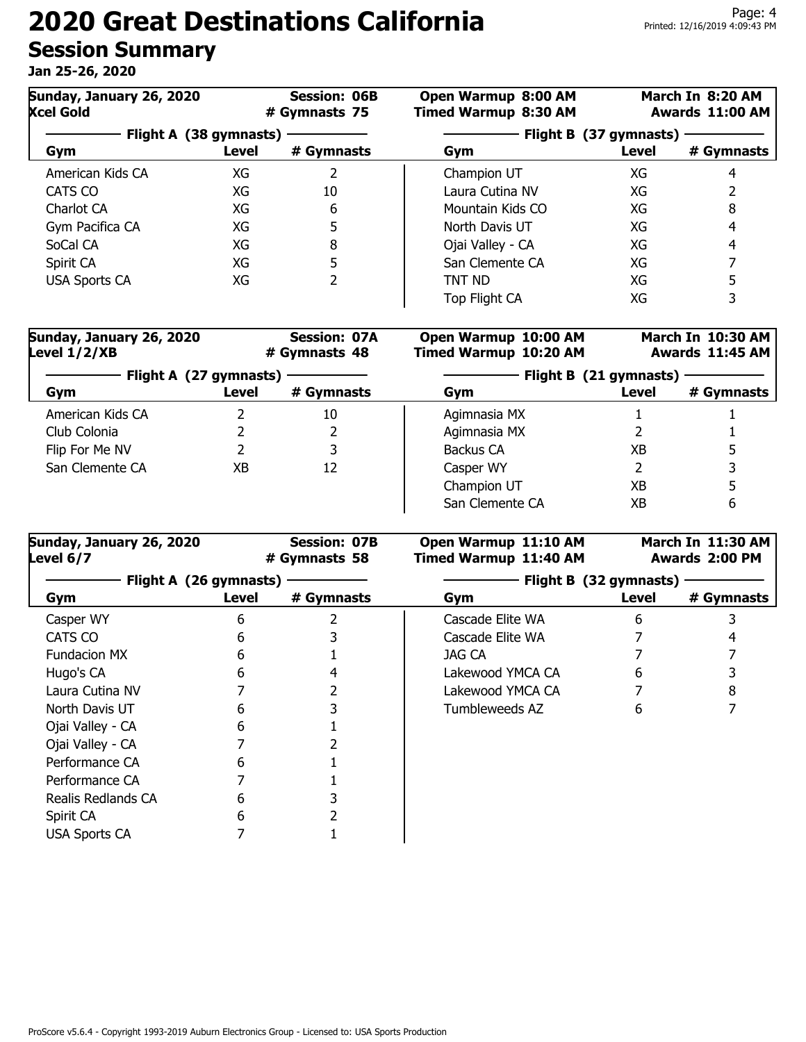| Sunday, January 26, 2020<br><b>Session: 06B</b><br><b>Xcel Gold</b><br># Gymnasts 75 |       | Open Warmup 8:00 AM<br><b>Timed Warmup 8:30 AM</b> |                        | March In 8:20 AM<br>Awards 11:00 AM |            |
|--------------------------------------------------------------------------------------|-------|----------------------------------------------------|------------------------|-------------------------------------|------------|
| Flight A (38 gymnasts)                                                               |       |                                                    | Flight B (37 gymnasts) |                                     |            |
| Gym                                                                                  | Level | # Gymnasts                                         | Gym                    | Level                               | # Gymnasts |
| American Kids CA                                                                     | XG    |                                                    | Champion UT            | XG                                  |            |
| CATS CO                                                                              | XG    | 10                                                 | Laura Cutina NV        | XG                                  |            |
| Charlot CA                                                                           | XG    | 6                                                  | Mountain Kids CO       | XG                                  | 8          |
| Gym Pacifica CA                                                                      | XG    | 5                                                  | North Davis UT         | XG                                  | 4          |
| SoCal CA                                                                             | XG    | 8                                                  | Ojai Valley - CA       | XG                                  | 4          |
| Spirit CA                                                                            | XG    | 5                                                  | San Clemente CA        | XG                                  |            |
| <b>USA Sports CA</b>                                                                 | XG    | 2                                                  | TNT ND                 | XG                                  |            |
|                                                                                      |       |                                                    | Top Flight CA          | XG                                  |            |

| Sunday, January 26, 2020<br>Level $1/2/XB$ | <b>Session: 07A</b><br># Gymnasts 48 |            | Open Warmup 10:00 AM<br><b>Timed Warmup 10:20 AM</b> |       | March In 10:30 AM<br>Awards 11:45 AM |  |
|--------------------------------------------|--------------------------------------|------------|------------------------------------------------------|-------|--------------------------------------|--|
| Flight A (27 gymnasts)                     |                                      |            | Flight B (21 gymnasts)                               |       |                                      |  |
| Gym                                        | Level                                | # Gymnasts | Gym                                                  | Level | # Gymnasts                           |  |
| American Kids CA                           |                                      | 10         | Agimnasia MX                                         |       |                                      |  |
| Club Colonia                               |                                      |            | Agimnasia MX                                         |       |                                      |  |
| Flip For Me NV                             |                                      | 3          | Backus CA                                            | ХB    |                                      |  |
| San Clemente CA                            | XВ                                   | 12         | Casper WY                                            |       |                                      |  |
|                                            |                                      |            | Champion UT                                          | ХB    |                                      |  |
|                                            |                                      |            | San Clemente CA                                      | ХB    | 6                                    |  |

| Sunday, January 26, 2020<br>Level 6/7 |       | <b>Session: 07B</b><br># Gymnasts 58 | Open Warmup 11:10 AM<br><b>Timed Warmup 11:40 AM</b> |       | March In 11:30 AM<br>Awards 2:00 PM |  |
|---------------------------------------|-------|--------------------------------------|------------------------------------------------------|-------|-------------------------------------|--|
| Flight A (26 gymnasts)                |       |                                      | Flight B (32 gymnasts)                               |       |                                     |  |
| Gym                                   | Level | # Gymnasts                           | Gym                                                  | Level | # Gymnasts                          |  |
| Casper WY                             | 6     |                                      | Cascade Elite WA                                     | 6     |                                     |  |
| CATS CO                               | 6     |                                      | Cascade Elite WA                                     |       |                                     |  |
| Fundacion MX                          | 6     |                                      | JAG CA                                               |       |                                     |  |
| Hugo's CA                             | 6     |                                      | Lakewood YMCA CA                                     | 6     |                                     |  |
| Laura Cutina NV                       |       |                                      | Lakewood YMCA CA                                     |       |                                     |  |
| North Davis UT                        | h     |                                      | Tumbleweeds AZ                                       | 6     |                                     |  |
| Ojai Valley - CA                      |       |                                      |                                                      |       |                                     |  |
| Ojai Valley - CA                      |       |                                      |                                                      |       |                                     |  |
| Performance CA                        | 6     |                                      |                                                      |       |                                     |  |
| Performance CA                        |       |                                      |                                                      |       |                                     |  |
| Realis Redlands CA                    | 6     |                                      |                                                      |       |                                     |  |
| Spirit CA                             | 6     |                                      |                                                      |       |                                     |  |
| <b>USA Sports CA</b>                  |       |                                      |                                                      |       |                                     |  |